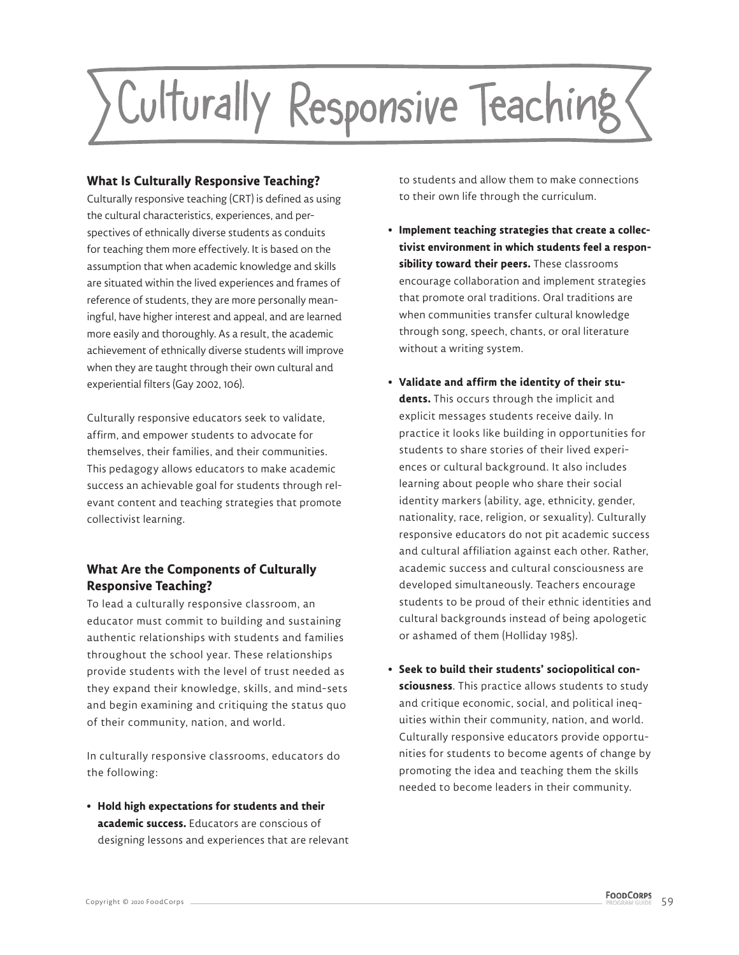

### **What Is Culturally Responsive Teaching?**

Culturally responsive teaching (CRT) is defined as using the cultural characteristics, experiences, and perspectives of ethnically diverse students as conduits for teaching them more effectively. It is based on the assumption that when academic knowledge and skills are situated within the lived experiences and frames of reference of students, they are more personally meaningful, have higher interest and appeal, and are learned more easily and thoroughly. As a result, the academic achievement of ethnically diverse students will improve when they are taught through their own cultural and experiential filters (Gay 2002, 106).

Culturally responsive educators seek to validate, affirm, and empower students to advocate for themselves, their families, and their communities. This pedagogy allows educators to make academic success an achievable goal for students through relevant content and teaching strategies that promote collectivist learning.

## **What Are the Components of Culturally Responsive Teaching?**

To lead a culturally responsive classroom, an educator must commit to building and sustaining authentic relationships with students and families throughout the school year. These relationships provide students with the level of trust needed as they expand their knowledge, skills, and mind-sets and begin examining and critiquing the status quo of their community, nation, and world.

In culturally responsive classrooms, educators do the following:

**• Hold high expectations for students and their academic success.** Educators are conscious of designing lessons and experiences that are relevant to students and allow them to make connections to their own life through the curriculum.

- **Implement teaching strategies that create a collectivist environment in which students feel a responsibility toward their peers.** These classrooms encourage collaboration and implement strategies that promote oral traditions. Oral traditions are when communities transfer cultural knowledge through song, speech, chants, or oral literature without a writing system.
- **Validate and affirm the identity of their students.** This occurs through the implicit and explicit messages students receive daily. In practice it looks like building in opportunities for students to share stories of their lived experiences or cultural background. It also includes learning about people who share their social identity markers (ability, age, ethnicity, gender, nationality, race, religion, or sexuality). Culturally responsive educators do not pit academic success and cultural affiliation against each other. Rather, academic success and cultural consciousness are developed simultaneously. Teachers encourage students to be proud of their ethnic identities and cultural backgrounds instead of being apologetic or ashamed of them (Holliday 1985).
- **Seek to build their students' sociopolitical consciousness**. This practice allows students to study and critique economic, social, and political inequities within their community, nation, and world. Culturally responsive educators provide opportunities for students to become agents of change by promoting the idea and teaching them the skills needed to become leaders in their community.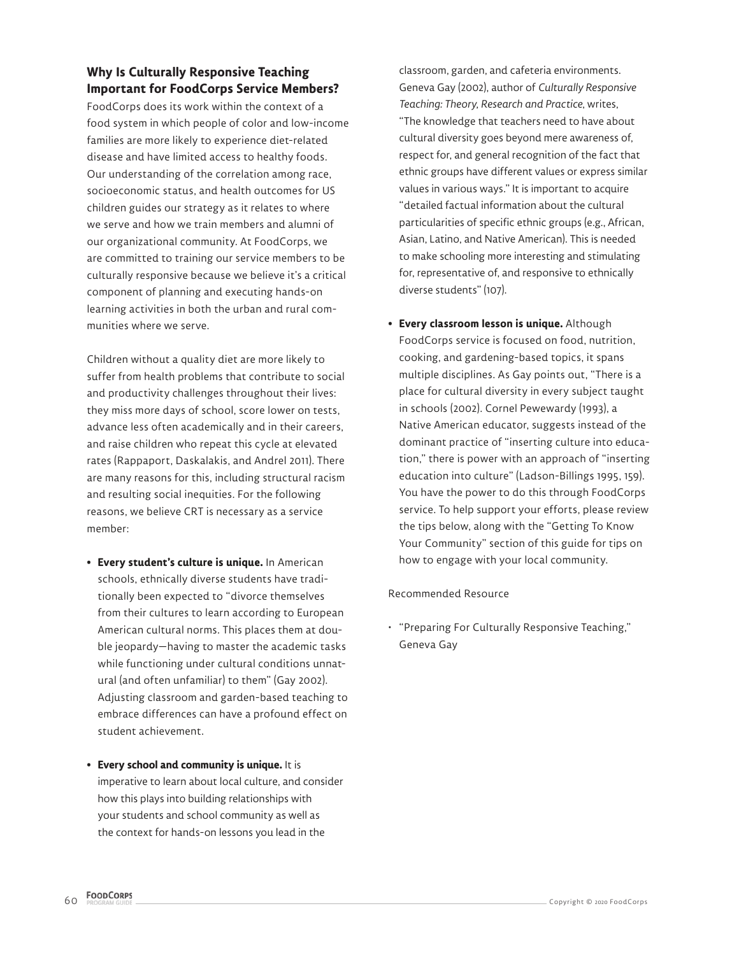## **Why Is Culturally Responsive Teaching Important for FoodCorps Service Members?**

FoodCorps does its work within the context of a food system in which people of color and low-income families are more likely to experience diet-related disease and have limited access to healthy foods. Our understanding of the correlation among race, socioeconomic status, and health outcomes for US children guides our strategy as it relates to where we serve and how we train members and alumni of our organizational community. At FoodCorps, we are committed to training our service members to be culturally responsive because we believe it's a critical component of planning and executing hands-on learning activities in both the urban and rural communities where we serve.

Children without a quality diet are more likely to suffer from health problems that contribute to social and productivity challenges throughout their lives: they miss more days of school, score lower on tests, advance less often academically and in their careers, and raise children who repeat this cycle at elevated rates (Rappaport, Daskalakis, and Andrel 2011). There are many reasons for this, including structural racism and resulting social inequities. For the following reasons, we believe CRT is necessary as a service member:

- **Every student's culture is unique.** In American schools, ethnically diverse students have traditionally been expected to "divorce themselves from their cultures to learn according to European American cultural norms. This places them at double jeopardy—having to master the academic tasks while functioning under cultural conditions unnatural (and often unfamiliar) to them" (Gay 2002). Adjusting classroom and garden-based teaching to embrace differences can have a profound effect on student achievement.
- **Every school and community is unique.** It is imperative to learn about local culture, and consider how this plays into building relationships with your students and school community as well as the context for hands-on lessons you lead in the

classroom, garden, and cafeteria environments. Geneva Gay (2002), author of *Culturally Responsive Teaching: Theory, Research and Practice*, writes, "The knowledge that teachers need to have about cultural diversity goes beyond mere awareness of, respect for, and general recognition of the fact that ethnic groups have different values or express similar values in various ways." It is important to acquire "detailed factual information about the cultural particularities of specific ethnic groups (e.g., African, Asian, Latino, and Native American). This is needed to make schooling more interesting and stimulating for, representative of, and responsive to ethnically diverse students" (107).

**• Every classroom lesson is unique.** Although FoodCorps service is focused on food, nutrition, cooking, and gardening-based topics, it spans multiple disciplines. As Gay points out, "There is a place for cultural diversity in every subject taught in schools (2002). Cornel Pewewardy (1993), a Native American educator, suggests instead of the dominant practice of "inserting culture into education," there is power with an approach of "inserting education into culture" (Ladson-Billings 1995, 159). You have the power to do this through FoodCorps service. To help support your efforts, please review the tips below, along with the "Getting To Know Your Community" section of this guide for tips on how to engage with your local community.

#### Recommended Resource

• "Preparing For Culturally Responsive Teaching," Geneva Gay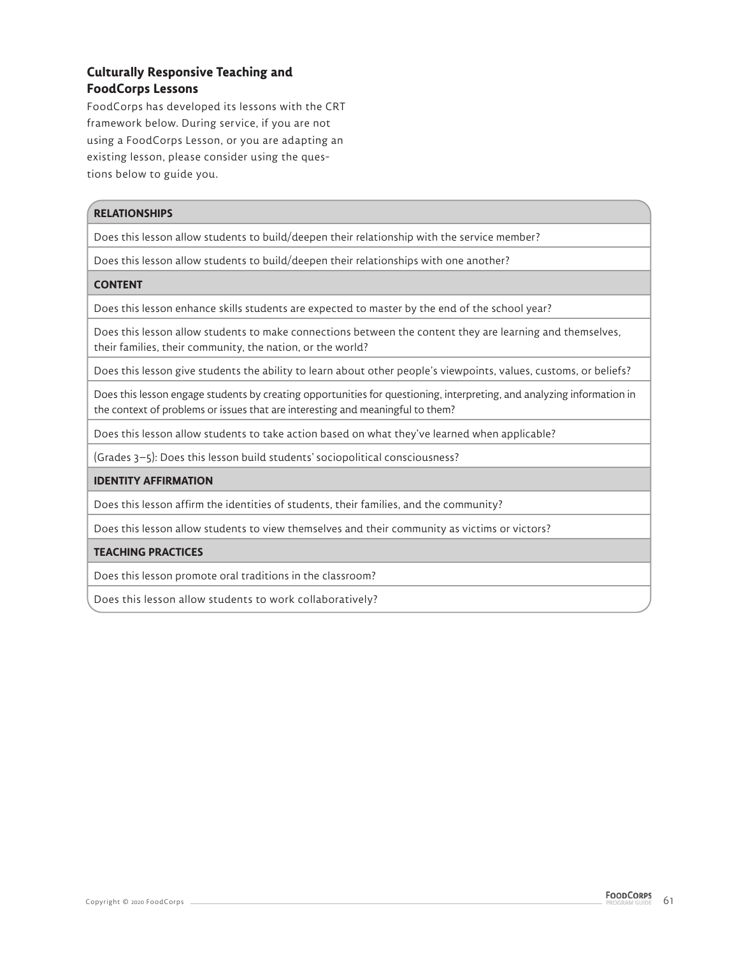## **Culturally Responsive Teaching and FoodCorps Lessons**

FoodCorps has developed its lessons with the CRT framework below. During service, if you are not using a FoodCorps Lesson, or you are adapting an existing lesson, please consider using the questions below to guide you.

#### **RELATIONSHIPS**

Does this lesson allow students to build/deepen their relationship with the service member?

Does this lesson allow students to build/deepen their relationships with one another?

#### **CONTENT**

Does this lesson enhance skills students are expected to master by the end of the school year?

Does this lesson allow students to make connections between the content they are learning and themselves, their families, their community, the nation, or the world?

Does this lesson give students the ability to learn about other people's viewpoints, values, customs, or beliefs?

Does this lesson engage students by creating opportunities for questioning, interpreting, and analyzing information in the context of problems or issues that are interesting and meaningful to them?

Does this lesson allow students to take action based on what they've learned when applicable?

(Grades 3–5): Does this lesson build students' sociopolitical consciousness?

#### **IDENTITY AFFIRMATION**

Does this lesson affirm the identities of students, their families, and the community?

Does this lesson allow students to view themselves and their community as victims or victors?

#### **TEACHING PRACTICES**

Does this lesson promote oral traditions in the classroom?

Does this lesson allow students to work collaboratively?